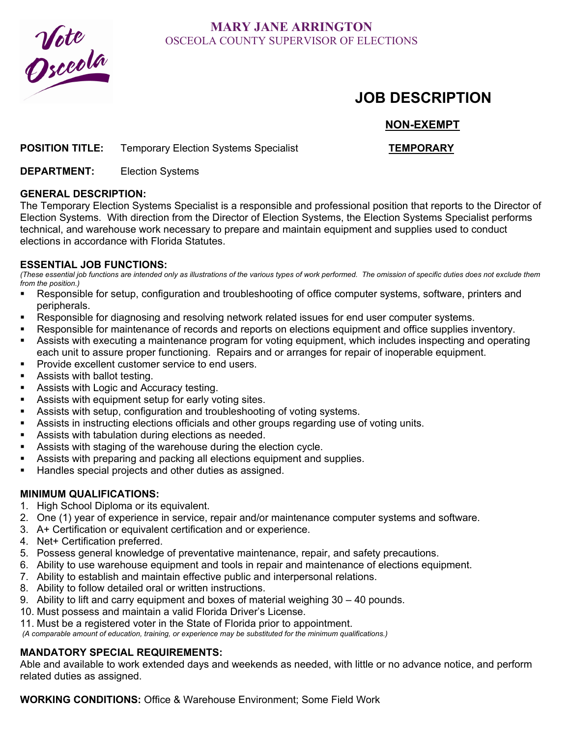

## **MARY JANE ARRINGTON**  OSCEOLA COUNTY SUPERVISOR OF ELECTIONS

# **JOB DESCRIPTION**

## **NON-EXEMPT**

### **POSITION TITLE:** Temporary Election Systems Specialist **TEMPORARY**

**DEPARTMENT:** Election Systems

#### **GENERAL DESCRIPTION:**

The Temporary Election Systems Specialist is a responsible and professional position that reports to the Director of Election Systems. With direction from the Director of Election Systems, the Election Systems Specialist performs technical, and warehouse work necessary to prepare and maintain equipment and supplies used to conduct elections in accordance with Florida Statutes.

#### **ESSENTIAL JOB FUNCTIONS:**

*(These essential job functions are intended only as illustrations of the various types of work performed. The omission of specific duties does not exclude them from the position.)* 

- Responsible for setup, configuration and troubleshooting of office computer systems, software, printers and peripherals.
- Responsible for diagnosing and resolving network related issues for end user computer systems.
- Responsible for maintenance of records and reports on elections equipment and office supplies inventory.
- Assists with executing a maintenance program for voting equipment, which includes inspecting and operating each unit to assure proper functioning. Repairs and or arranges for repair of inoperable equipment.
- Provide excellent customer service to end users.
- Assists with ballot testing.
- Assists with Logic and Accuracy testing.
- Assists with equipment setup for early voting sites.
- Assists with setup, configuration and troubleshooting of voting systems.
- Assists in instructing elections officials and other groups regarding use of voting units.
- Assists with tabulation during elections as needed.
- Assists with staging of the warehouse during the election cycle.
- Assists with preparing and packing all elections equipment and supplies.
- Handles special projects and other duties as assigned.

#### **MINIMUM QUALIFICATIONS:**

- 1. High School Diploma or its equivalent.
- 2. One (1) year of experience in service, repair and/or maintenance computer systems and software.
- 3. A+ Certification or equivalent certification and or experience.
- 4. Net+ Certification preferred.
- 5. Possess general knowledge of preventative maintenance, repair, and safety precautions.
- 6. Ability to use warehouse equipment and tools in repair and maintenance of elections equipment.
- 7. Ability to establish and maintain effective public and interpersonal relations.
- 8. Ability to follow detailed oral or written instructions.
- 9. Ability to lift and carry equipment and boxes of material weighing 30 40 pounds.
- 10. Must possess and maintain a valid Florida Driver's License.
- 11. Must be a registered voter in the State of Florida prior to appointment.

 *(A comparable amount of education, training, or experience may be substituted for the minimum qualifications.)* 

#### **MANDATORY SPECIAL REQUIREMENTS:**

Able and available to work extended days and weekends as needed, with little or no advance notice, and perform related duties as assigned.

**WORKING CONDITIONS:** Office & Warehouse Environment; Some Field Work